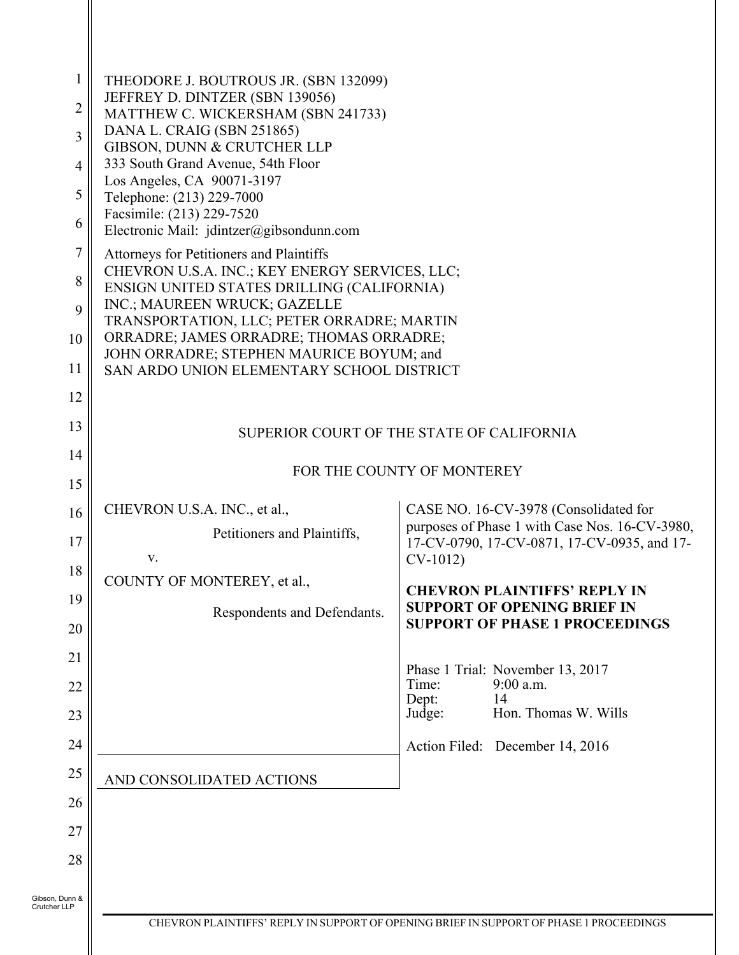| 1<br>2<br>3<br>4<br>5<br>6<br>7<br>8<br>9<br>10<br>11 | THEODORE J. BOUTROUS JR. (SBN 132099)<br>JEFFREY D. DINTZER (SBN 139056)<br>MATTHEW C. WICKERSHAM (SBN 241733)<br>DANA L. CRAIG (SBN 251865)<br>GIBSON, DUNN & CRUTCHER LLP<br>333 South Grand Avenue, 54th Floor<br>Los Angeles, CA 90071-3197<br>Telephone: (213) 229-7000<br>Facsimile: (213) 229-7520<br>Electronic Mail: jdintzer@gibsondunn.com<br>Attorneys for Petitioners and Plaintiffs<br>CHEVRON U.S.A. INC.; KEY ENERGY SERVICES, LLC;<br>ENSIGN UNITED STATES DRILLING (CALIFORNIA)<br>INC.; MAUREEN WRUCK; GAZELLE<br>TRANSPORTATION, LLC; PETER ORRADRE; MARTIN<br>ORRADRE; JAMES ORRADRE; THOMAS ORRADRE;<br>JOHN ORRADRE; STEPHEN MAURICE BOYUM; and<br>SAN ARDO UNION ELEMENTARY SCHOOL DISTRICT |                                                                                         |
|-------------------------------------------------------|---------------------------------------------------------------------------------------------------------------------------------------------------------------------------------------------------------------------------------------------------------------------------------------------------------------------------------------------------------------------------------------------------------------------------------------------------------------------------------------------------------------------------------------------------------------------------------------------------------------------------------------------------------------------------------------------------------------------|-----------------------------------------------------------------------------------------|
| 12                                                    |                                                                                                                                                                                                                                                                                                                                                                                                                                                                                                                                                                                                                                                                                                                     |                                                                                         |
| 13                                                    |                                                                                                                                                                                                                                                                                                                                                                                                                                                                                                                                                                                                                                                                                                                     | SUPERIOR COURT OF THE STATE OF CALIFORNIA                                               |
| 14                                                    |                                                                                                                                                                                                                                                                                                                                                                                                                                                                                                                                                                                                                                                                                                                     | FOR THE COUNTY OF MONTEREY                                                              |
| 15                                                    |                                                                                                                                                                                                                                                                                                                                                                                                                                                                                                                                                                                                                                                                                                                     |                                                                                         |
| 16                                                    | CHEVRON U.S.A. INC., et al.,                                                                                                                                                                                                                                                                                                                                                                                                                                                                                                                                                                                                                                                                                        | CASE NO. 16-CV-3978 (Consolidated for<br>purposes of Phase 1 with Case Nos. 16-CV-3980, |
| 17                                                    | Petitioners and Plaintiffs,<br>V.                                                                                                                                                                                                                                                                                                                                                                                                                                                                                                                                                                                                                                                                                   | 17-CV-0790, 17-CV-0871, 17-CV-0935, and 17-<br>$CV-1012$                                |
| 18                                                    | COUNTY OF MONTEREY, et al.,                                                                                                                                                                                                                                                                                                                                                                                                                                                                                                                                                                                                                                                                                         | <b>CHEVRON PLAINTIFFS' REPLY IN</b>                                                     |
| 19<br>20                                              | Respondents and Defendants.                                                                                                                                                                                                                                                                                                                                                                                                                                                                                                                                                                                                                                                                                         | <b>SUPPORT OF OPENING BRIEF IN</b><br><b>SUPPORT OF PHASE 1 PROCEEDINGS</b>             |
| 21                                                    |                                                                                                                                                                                                                                                                                                                                                                                                                                                                                                                                                                                                                                                                                                                     |                                                                                         |
| 22                                                    |                                                                                                                                                                                                                                                                                                                                                                                                                                                                                                                                                                                                                                                                                                                     | Phase 1 Trial: November 13, 2017<br>$9:00$ a.m.<br>Time:                                |
| 23                                                    |                                                                                                                                                                                                                                                                                                                                                                                                                                                                                                                                                                                                                                                                                                                     | Dept:<br>14<br>Hon. Thomas W. Wills<br>Judge:                                           |
| 24                                                    |                                                                                                                                                                                                                                                                                                                                                                                                                                                                                                                                                                                                                                                                                                                     | Action Filed: December 14, 2016                                                         |
| 25                                                    | AND CONSOLIDATED ACTIONS                                                                                                                                                                                                                                                                                                                                                                                                                                                                                                                                                                                                                                                                                            |                                                                                         |
| 26                                                    |                                                                                                                                                                                                                                                                                                                                                                                                                                                                                                                                                                                                                                                                                                                     |                                                                                         |
| 27                                                    |                                                                                                                                                                                                                                                                                                                                                                                                                                                                                                                                                                                                                                                                                                                     |                                                                                         |
| 28                                                    |                                                                                                                                                                                                                                                                                                                                                                                                                                                                                                                                                                                                                                                                                                                     |                                                                                         |
| Gibson, Dunn &<br>Crutcher LLP                        |                                                                                                                                                                                                                                                                                                                                                                                                                                                                                                                                                                                                                                                                                                                     |                                                                                         |
|                                                       |                                                                                                                                                                                                                                                                                                                                                                                                                                                                                                                                                                                                                                                                                                                     | CHEVRON PLAINTIFFS' REPLY IN SUPPORT OF OPENING BRIEF IN SUPPORT OF PHASE 1 PROCEEDINGS |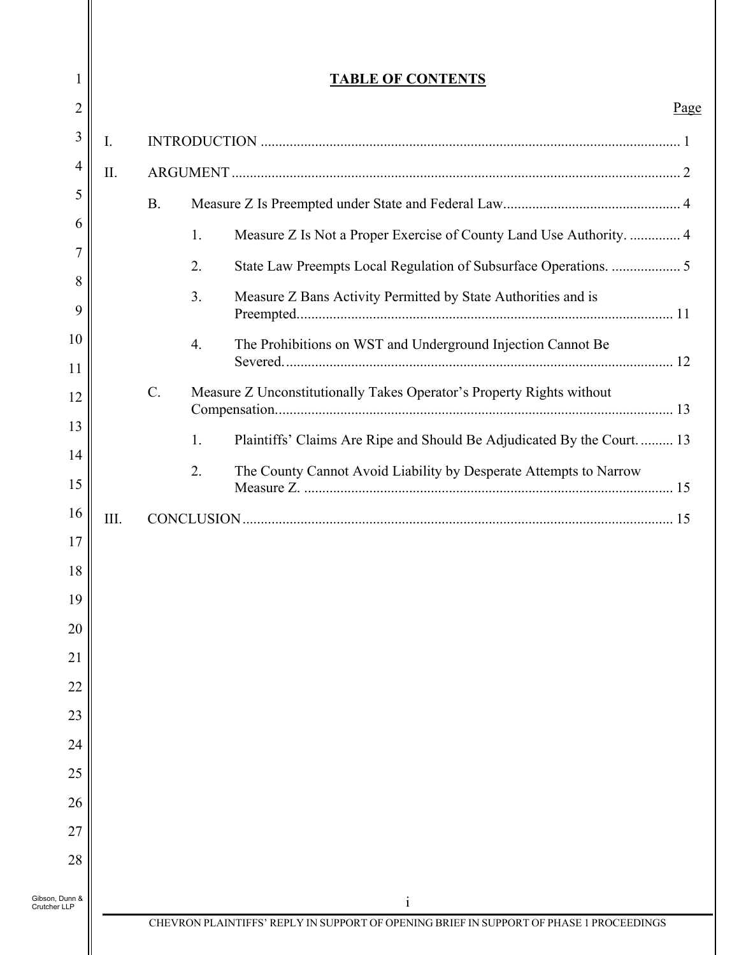| 1              |           | <b>TABLE OF CONTENTS</b>                                                      |      |
|----------------|-----------|-------------------------------------------------------------------------------|------|
| 2              |           |                                                                               | Page |
| 3<br>I.        |           |                                                                               |      |
| 4<br>II.       |           |                                                                               |      |
|                | <b>B.</b> |                                                                               |      |
|                |           | Measure Z Is Not a Proper Exercise of County Land Use Authority.  4<br>1.     |      |
|                |           | 2.<br>State Law Preempts Local Regulation of Subsurface Operations.  5        |      |
|                |           | 3.<br>Measure Z Bans Activity Permitted by State Authorities and is           |      |
|                |           | The Prohibitions on WST and Underground Injection Cannot Be<br>4.             |      |
|                | $C$ .     | Measure Z Unconstitutionally Takes Operator's Property Rights without         |      |
|                |           | Plaintiffs' Claims Are Ripe and Should Be Adjudicated By the Court.  13<br>1. |      |
|                |           | The County Cannot Avoid Liability by Desperate Attempts to Narrow<br>2.       |      |
| Ш.             |           |                                                                               |      |
|                |           |                                                                               |      |
|                |           |                                                                               |      |
|                |           |                                                                               |      |
|                |           |                                                                               |      |
|                |           |                                                                               |      |
|                |           |                                                                               |      |
|                |           |                                                                               |      |
|                |           |                                                                               |      |
|                |           |                                                                               |      |
|                |           |                                                                               |      |
|                |           |                                                                               |      |
| Gibson, Dunn & |           | $\mathbf{1}$                                                                  |      |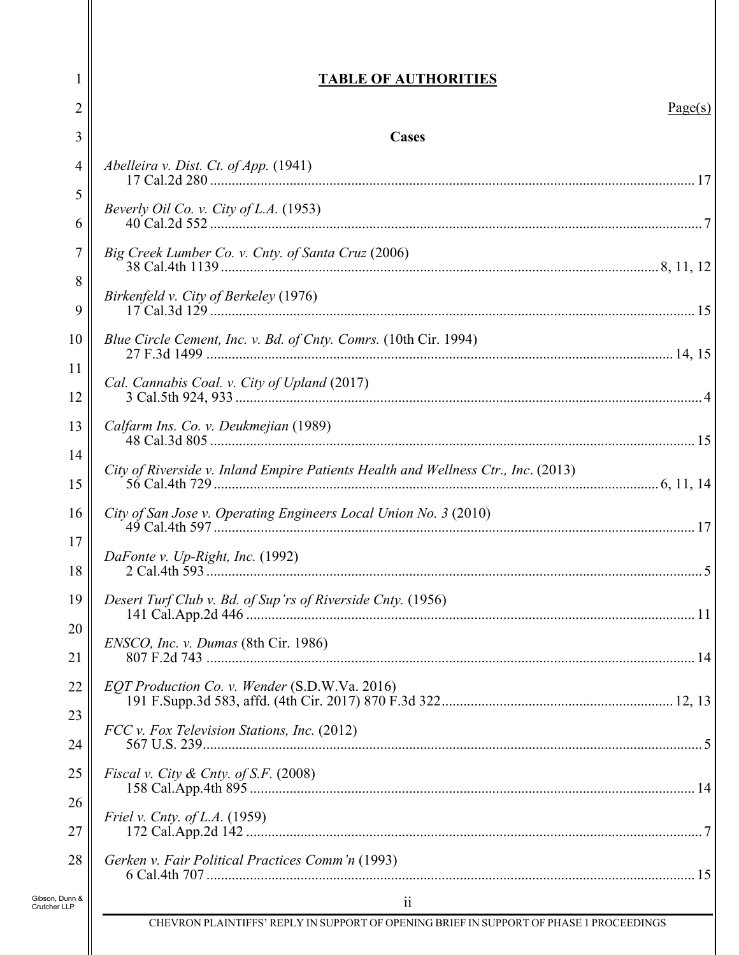# **TABLE OF AUTHORITIES**

1

| $\mathbf{r}$                   | TADLE OF AUTHONITIES                                                              |         |
|--------------------------------|-----------------------------------------------------------------------------------|---------|
| $\overline{2}$                 |                                                                                   | Page(s) |
| 3                              | Cases                                                                             |         |
| 4                              | Abelleira v. Dist. Ct. of App. (1941)                                             |         |
| 5<br>6                         | Beverly Oil Co. v. City of L.A. (1953)                                            |         |
| 7                              | Big Creek Lumber Co. v. Cnty. of Santa Cruz (2006)                                |         |
| 8                              |                                                                                   |         |
| 9                              | Birkenfeld v. City of Berkeley (1976)                                             |         |
| 10                             | Blue Circle Cement, Inc. v. Bd. of Cnty. Comrs. (10th Cir. 1994)                  |         |
| 11<br>12                       | Cal. Cannabis Coal. v. City of Upland (2017)                                      |         |
| 13                             | Calfarm Ins. Co. v. Deukmejian (1989)                                             |         |
| 14                             |                                                                                   |         |
| 15                             | City of Riverside v. Inland Empire Patients Health and Wellness Ctr., Inc. (2013) |         |
| 16                             | City of San Jose v. Operating Engineers Local Union No. 3 (2010)                  |         |
| 17<br>18                       | DaFonte v. Up-Right, Inc. (1992)                                                  |         |
| 19                             | Desert Turf Club v. Bd. of Sup'rs of Riverside Cnty. (1956)                       |         |
| 20                             | ENSCO, Inc. v. Dumas (8th Cir. 1986)                                              |         |
| 21                             |                                                                                   |         |
| 22                             | EQT Production Co. v. Wender (S.D.W.Va. 2016)                                     |         |
| 23<br>24                       | FCC v. Fox Television Stations, Inc. (2012)                                       |         |
| 25                             | <i>Fiscal v. City &amp; Cnty. of S.F.</i> $(2008)$                                |         |
| 26                             | <i>Friel v. Cnty. of L.A.</i> (1959)                                              |         |
| 27                             |                                                                                   |         |
| 28                             | Gerken v. Fair Political Practices Comm'n (1993)                                  |         |
| Gibson, Dunn &<br>Crutcher LLP | $\ddot{\mathbf{i}}$                                                               |         |

CHEVRON PLAINTIFFS' REPLY IN SUPPORT OF OPENING BRIEF IN SUPPORT OF PHASE 1 PROCEEDINGS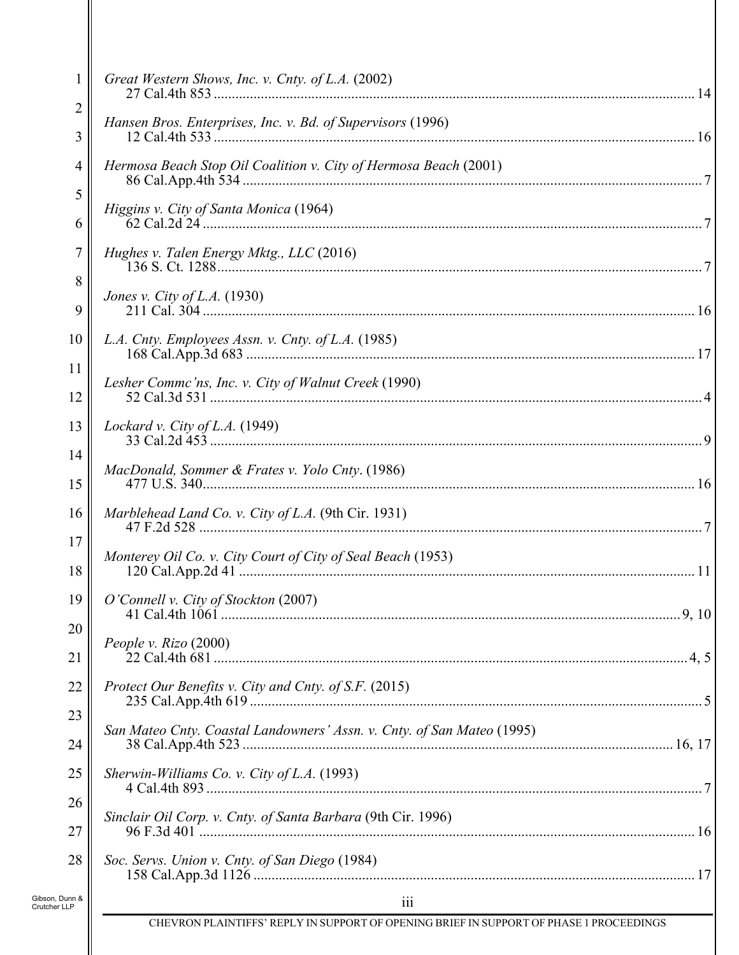| 1                              | Great Western Shows, Inc. v. Cnty. of L.A. (2002)                                       |
|--------------------------------|-----------------------------------------------------------------------------------------|
| $\overline{c}$                 | Hansen Bros. Enterprises, Inc. v. Bd. of Supervisors (1996)                             |
| 3                              |                                                                                         |
| 4                              | Hermosa Beach Stop Oil Coalition v. City of Hermosa Beach (2001)                        |
| 5                              | Higgins v. City of Santa Monica (1964)                                                  |
| 6                              |                                                                                         |
| 7                              | Hughes v. Talen Energy Mktg., LLC (2016)                                                |
| 8<br>9                         | Jones v. City of L.A. (1930)                                                            |
| 10                             | L.A. Cnty. Employees Assn. v. Cnty. of L.A. (1985)                                      |
| 11                             |                                                                                         |
| 12                             | Lesher Commc'ns, Inc. v. City of Walnut Creek (1990)                                    |
| 13                             | Lockard v. City of L.A. (1949)                                                          |
| 14                             | MacDonald, Sommer & Frates v. Yolo Cnty. (1986)                                         |
| 15                             |                                                                                         |
| 16                             | Marblehead Land Co. v. City of L.A. (9th Cir. 1931)                                     |
| 17                             | Monterey Oil Co. v. City Court of City of Seal Beach (1953)                             |
| 18                             |                                                                                         |
| 19                             | O'Connell v. City of Stockton (2007)                                                    |
| 20                             | People v. Rizo (2000)                                                                   |
| 21                             |                                                                                         |
| 22                             | Protect Our Benefits v. City and Cnty. of S.F. (2015)                                   |
| 23                             |                                                                                         |
| 24                             | San Mateo Cnty. Coastal Landowners' Assn. v. Cnty. of San Mateo (1995)                  |
| 25                             | Sherwin-Williams Co. v. City of L.A. $(1993)$                                           |
| 26                             |                                                                                         |
| 27                             | Sinclair Oil Corp. v. Cnty. of Santa Barbara (9th Cir. 1996)                            |
| 28                             | Soc. Servs. Union v. Cnty. of San Diego (1984)                                          |
| Gibson, Dunn &<br>Crutcher LLP | 111                                                                                     |
|                                | CHEVRON PLAINTIFFS' REPLY IN SUPPORT OF OPENING BRIEF IN SUPPORT OF PHASE 1 PROCEEDINGS |
|                                |                                                                                         |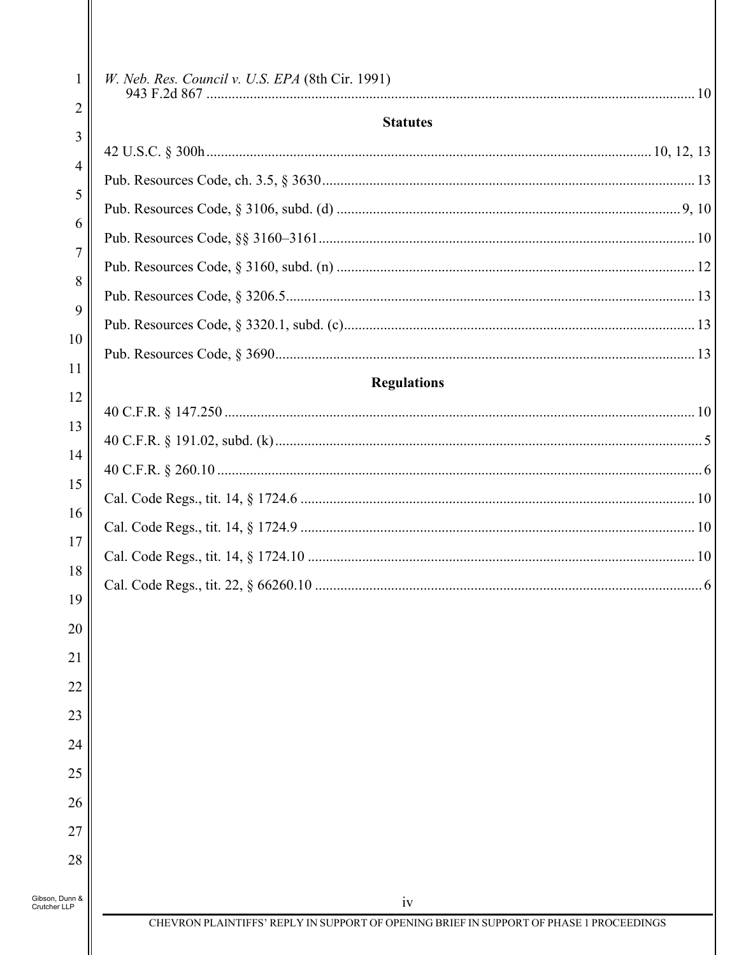| 1              | W. Neb. Res. Council v. U.S. EPA (8th Cir. 1991)                                              |     |
|----------------|-----------------------------------------------------------------------------------------------|-----|
| $\overline{2}$ | <b>Statutes</b>                                                                               |     |
| 3              |                                                                                               |     |
| $\overline{4}$ |                                                                                               |     |
| 5              |                                                                                               |     |
| 6              |                                                                                               |     |
| 7              |                                                                                               |     |
| 8              |                                                                                               |     |
| 9              |                                                                                               |     |
| 10             |                                                                                               |     |
| 11             | <b>Regulations</b>                                                                            |     |
| 12             |                                                                                               |     |
| 13             |                                                                                               |     |
| 14             |                                                                                               |     |
| 15<br>16       |                                                                                               |     |
| 17             |                                                                                               |     |
| 18             |                                                                                               | .10 |
| 19             |                                                                                               |     |
| 20             |                                                                                               |     |
| 21             |                                                                                               |     |
| 22             |                                                                                               |     |
| 23             |                                                                                               |     |
| 24             |                                                                                               |     |
| 25             |                                                                                               |     |
| 26             |                                                                                               |     |
| 27             |                                                                                               |     |
| 28             |                                                                                               |     |
| Gibson, Dunn & |                                                                                               |     |
| Crutcher LLP   | iv<br>CHEVRON PLAINTIFFS' REPLY IN SUPPORT OF OPENING BRIEF IN SUPPORT OF PHASE 1 PROCEEDINGS |     |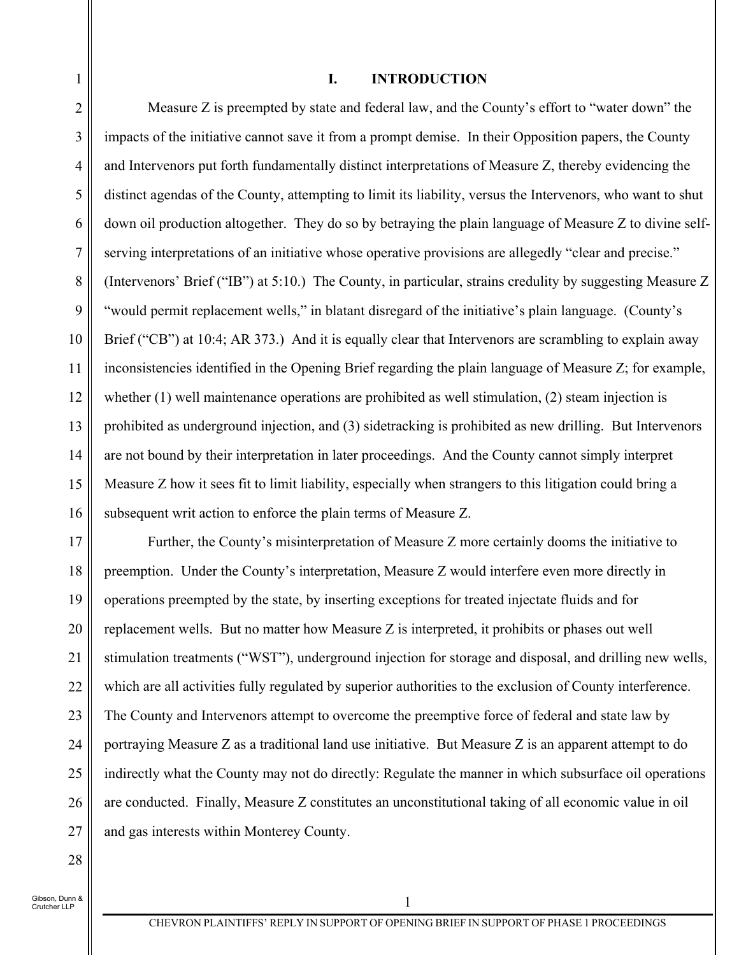#### **I. INTRODUCTION**

2 3 4 5 6 7 8 9 10 11 12 13 14 15 16 Measure Z is preempted by state and federal law, and the County's effort to "water down" the impacts of the initiative cannot save it from a prompt demise. In their Opposition papers, the County and Intervenors put forth fundamentally distinct interpretations of Measure Z, thereby evidencing the distinct agendas of the County, attempting to limit its liability, versus the Intervenors, who want to shut down oil production altogether. They do so by betraying the plain language of Measure Z to divine selfserving interpretations of an initiative whose operative provisions are allegedly "clear and precise." (Intervenors' Brief ("IB") at 5:10.) The County, in particular, strains credulity by suggesting Measure Z "would permit replacement wells," in blatant disregard of the initiative's plain language. (County's Brief ("CB") at 10:4; AR 373.) And it is equally clear that Intervenors are scrambling to explain away inconsistencies identified in the Opening Brief regarding the plain language of Measure Z; for example, whether (1) well maintenance operations are prohibited as well stimulation, (2) steam injection is prohibited as underground injection, and (3) sidetracking is prohibited as new drilling. But Intervenors are not bound by their interpretation in later proceedings. And the County cannot simply interpret Measure Z how it sees fit to limit liability, especially when strangers to this litigation could bring a subsequent writ action to enforce the plain terms of Measure Z.

17 18 19 20 21 22 23 24 25 26 27 Further, the County's misinterpretation of Measure Z more certainly dooms the initiative to preemption. Under the County's interpretation, Measure Z would interfere even more directly in operations preempted by the state, by inserting exceptions for treated injectate fluids and for replacement wells. But no matter how Measure Z is interpreted, it prohibits or phases out well stimulation treatments ("WST"), underground injection for storage and disposal, and drilling new wells, which are all activities fully regulated by superior authorities to the exclusion of County interference. The County and Intervenors attempt to overcome the preemptive force of federal and state law by portraying Measure Z as a traditional land use initiative. But Measure Z is an apparent attempt to do indirectly what the County may not do directly: Regulate the manner in which subsurface oil operations are conducted. Finally, Measure Z constitutes an unconstitutional taking of all economic value in oil and gas interests within Monterey County.

28

1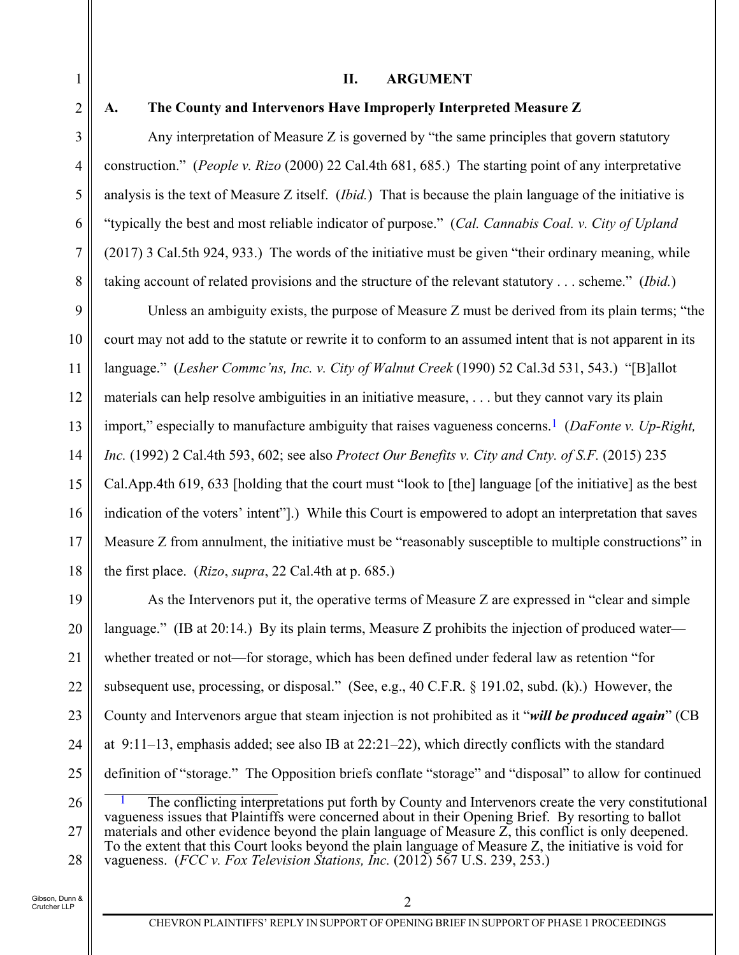#### **II. ARGUMENT**

1 2

3

4

5

6

7

8

### **A. The County and Intervenors Have Improperly Interpreted Measure Z**

Any interpretation of Measure Z is governed by "the same principles that govern statutory construction." (*People v. Rizo* (2000) 22 Cal.4th 681, 685.) The starting point of any interpretative analysis is the text of Measure Z itself. (*Ibid.*) That is because the plain language of the initiative is "typically the best and most reliable indicator of purpose." (*Cal. Cannabis Coal. v. City of Upland* (2017) 3 Cal.5th 924, 933.) The words of the initiative must be given "their ordinary meaning, while taking account of related provisions and the structure of the relevant statutory . . . scheme." (*Ibid.*)

9 10 11 12 13 14 15 16 17 18 Unless an ambiguity exists, the purpose of Measure Z must be derived from its plain terms; "the court may not add to the statute or rewrite it to conform to an assumed intent that is not apparent in its language." (*Lesher Commc'ns, Inc. v. City of Walnut Creek* (1990) 52 Cal.3d 531, 543.) "[B]allot materials can help resolve ambiguities in an initiative measure, . . . but they cannot vary its plain import," especially to manufacture ambiguity that raises vagueness concerns.1 (*DaFonte v. Up-Right, Inc.* (1992) 2 Cal.4th 593, 602; see also *Protect Our Benefits v. City and Cnty. of S.F.* (2015) 235 Cal.App.4th 619, 633 [holding that the court must "look to [the] language [of the initiative] as the best indication of the voters' intent"].) While this Court is empowered to adopt an interpretation that saves Measure Z from annulment, the initiative must be "reasonably susceptible to multiple constructions" in the first place. (*Rizo*, *supra*, 22 Cal.4th at p. 685.)

19 20 21 22 23 24 25 As the Intervenors put it, the operative terms of Measure Z are expressed in "clear and simple language." (IB at 20:14.) By its plain terms, Measure Z prohibits the injection of produced water whether treated or not—for storage, which has been defined under federal law as retention "for subsequent use, processing, or disposal." (See, e.g., 40 C.F.R. § 191.02, subd. (k).) However, the County and Intervenors argue that steam injection is not prohibited as it "*will be produced again*" (CB at  $9:11-13$ , emphasis added; see also IB at  $22:21-22$ ), which directly conflicts with the standard definition of "storage." The Opposition briefs conflate "storage" and "disposal" to allow for continued

26 27 28 The conflicting interpretations put forth by County and Intervenors create the very constitutional vagueness issues that Plaintiffs were concerned about in their Opening Brief. By resorting to ballot materials and other evidence beyond the plain language of Measure Z, this conflict is only deepened. To the extent that this Court looks beyond the plain language of Measure Z, the initiative is void for vagueness. (*FCC v. Fox Television Stations, Inc.* (2012) 567 U.S. 239, 253.)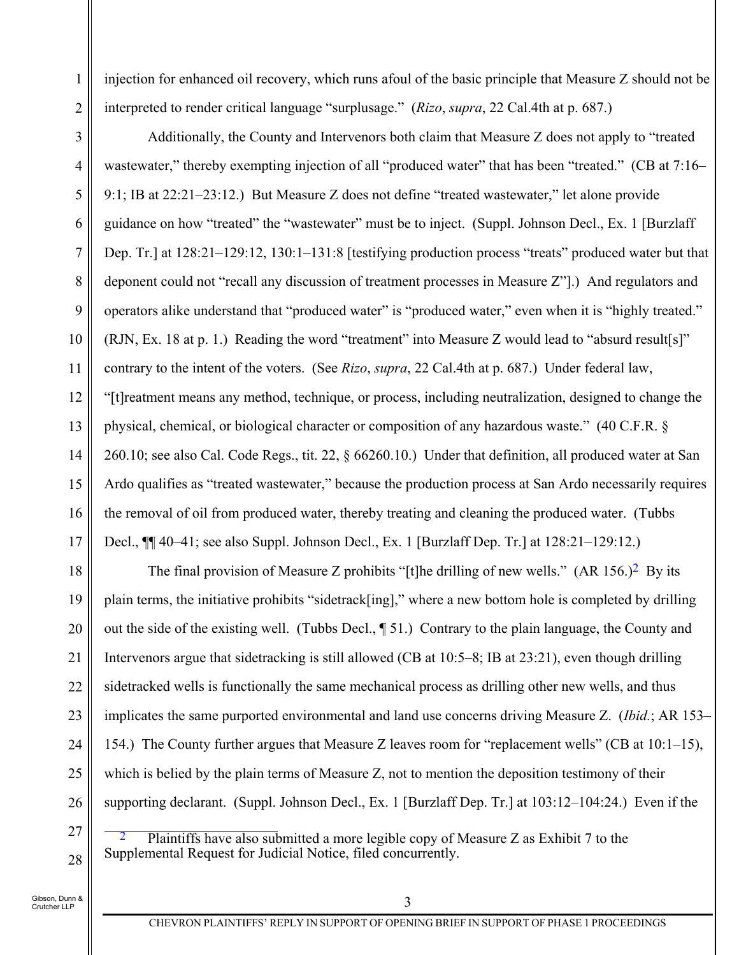injection for enhanced oil recovery, which runs afoul of the basic principle that Measure Z should not be interpreted to render critical language "surplusage." (*Rizo*, *supra*, 22 Cal.4th at p. 687.)

3 4 5 6 7 8 9 10 11 12 13 14 15 16 17 Additionally, the County and Intervenors both claim that Measure Z does not apply to "treated wastewater," thereby exempting injection of all "produced water" that has been "treated." (CB at 7:16– 9:1; IB at 22:21–23:12.) But Measure Z does not define "treated wastewater," let alone provide guidance on how "treated" the "wastewater" must be to inject. (Suppl. Johnson Decl., Ex. 1 [Burzlaff Dep. Tr.] at 128:21–129:12, 130:1–131:8 [testifying production process "treats" produced water but that deponent could not "recall any discussion of treatment processes in Measure Z"].) And regulators and operators alike understand that "produced water" is "produced water," even when it is "highly treated." (RJN, Ex. 18 at p. 1.) Reading the word "treatment" into Measure Z would lead to "absurd result[s]" contrary to the intent of the voters. (See *Rizo*, *supra*, 22 Cal.4th at p. 687.) Under federal law, "[t]reatment means any method, technique, or process, including neutralization, designed to change the physical, chemical, or biological character or composition of any hazardous waste." (40 C.F.R. § 260.10; see also Cal. Code Regs., tit. 22, § 66260.10.) Under that definition, all produced water at San Ardo qualifies as "treated wastewater," because the production process at San Ardo necessarily requires the removal of oil from produced water, thereby treating and cleaning the produced water. (Tubbs Decl.,  $\P$ [ 40–41; see also Suppl. Johnson Decl., Ex. 1 [Burzlaff Dep. Tr.] at 128:21–129:12.)

18 19 20 21 22 23 24 25 26 The final provision of Measure Z prohibits "[t]he drilling of new wells." (AR 156.)<sup>2</sup> By its plain terms, the initiative prohibits "sidetrack[ing]," where a new bottom hole is completed by drilling out the side of the existing well. (Tubbs Decl., ¶ 51.) Contrary to the plain language, the County and Intervenors argue that sidetracking is still allowed (CB at 10:5–8; IB at 23:21), even though drilling sidetracked wells is functionally the same mechanical process as drilling other new wells, and thus implicates the same purported environmental and land use concerns driving Measure Z. (*Ibid.*; AR 153– 154.) The County further argues that Measure Z leaves room for "replacement wells" (CB at 10:1–15), which is belied by the plain terms of Measure Z, not to mention the deposition testimony of their supporting declarant. (Suppl. Johnson Decl., Ex. 1 [Burzlaff Dep. Tr.] at 103:12–104:24.) Even if the

 2 Plaintiffs have also submitted a more legible copy of Measure Z as Exhibit 7 to the Supplemental Request for Judicial Notice, filed concurrently.

Gibson, Dunn & Crutcher LLP

27

28

1

2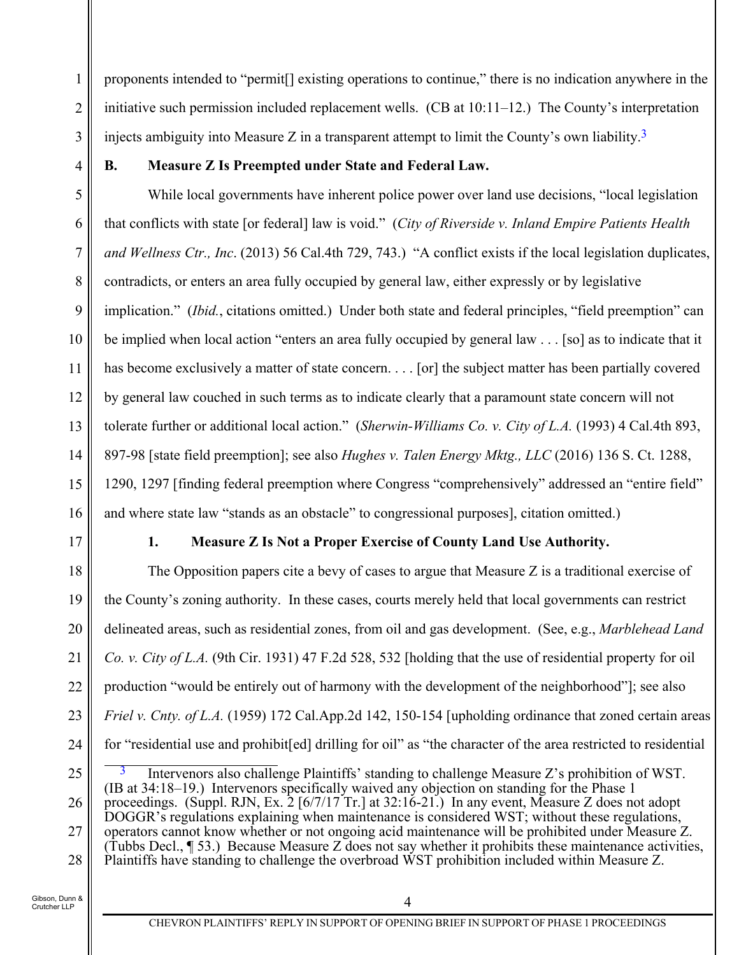1 2 3 proponents intended to "permit[] existing operations to continue," there is no indication anywhere in the initiative such permission included replacement wells. (CB at 10:11–12.) The County's interpretation injects ambiguity into Measure Z in a transparent attempt to limit the County's own liability.<sup>3</sup>

4

## **B. Measure Z Is Preempted under State and Federal Law.**

5 6 7 8 9 10 11 12 13 14 15 16 While local governments have inherent police power over land use decisions, "local legislation that conflicts with state [or federal] law is void." (*City of Riverside v. Inland Empire Patients Health and Wellness Ctr., Inc*. (2013) 56 Cal.4th 729, 743.) "A conflict exists if the local legislation duplicates, contradicts, or enters an area fully occupied by general law, either expressly or by legislative implication." (*Ibid.*, citations omitted.) Under both state and federal principles, "field preemption" can be implied when local action "enters an area fully occupied by general law . . . [so] as to indicate that it has become exclusively a matter of state concern. . . . [or] the subject matter has been partially covered by general law couched in such terms as to indicate clearly that a paramount state concern will not tolerate further or additional local action." (*Sherwin-Williams Co. v. City of L.A.* (1993) 4 Cal.4th 893, 897-98 [state field preemption]; see also *Hughes v. Talen Energy Mktg., LLC* (2016) 136 S. Ct. 1288, 1290, 1297 [finding federal preemption where Congress "comprehensively" addressed an "entire field" and where state law "stands as an obstacle" to congressional purposes], citation omitted.)

17

## **1. Measure Z Is Not a Proper Exercise of County Land Use Authority.**

18 19 20 21 22 23 24 The Opposition papers cite a bevy of cases to argue that Measure Z is a traditional exercise of the County's zoning authority. In these cases, courts merely held that local governments can restrict delineated areas, such as residential zones, from oil and gas development. (See, e.g., *Marblehead Land Co. v. City of L.A.* (9th Cir. 1931) 47 F.2d 528, 532 [holding that the use of residential property for oil production "would be entirely out of harmony with the development of the neighborhood"]; see also *Friel v. Cnty. of L.A.* (1959) 172 Cal.App.2d 142, 150-154 [upholding ordinance that zoned certain areas for "residential use and prohibit[ed] drilling for oil" as "the character of the area restricted to residential

<sup>25</sup>  26 27 28 Intervenors also challenge Plaintiffs' standing to challenge Measure Z's prohibition of WST. (IB at 34:18–19.) Intervenors specifically waived any objection on standing for the Phase 1 proceedings. (Suppl. RJN, Ex. 2 [6/7/17 Tr.] at 32:16-21.) In any event, Measure Z does not adopt DOGGR's regulations explaining when maintenance is considered WST; without these regulations, operators cannot know whether or not ongoing acid maintenance will be prohibited under Measure Z. (Tubbs Decl., ¶ 53.) Because Measure Z does not say whether it prohibits these maintenance activities, Plaintiffs have standing to challenge the overbroad WST prohibition included within Measure Z.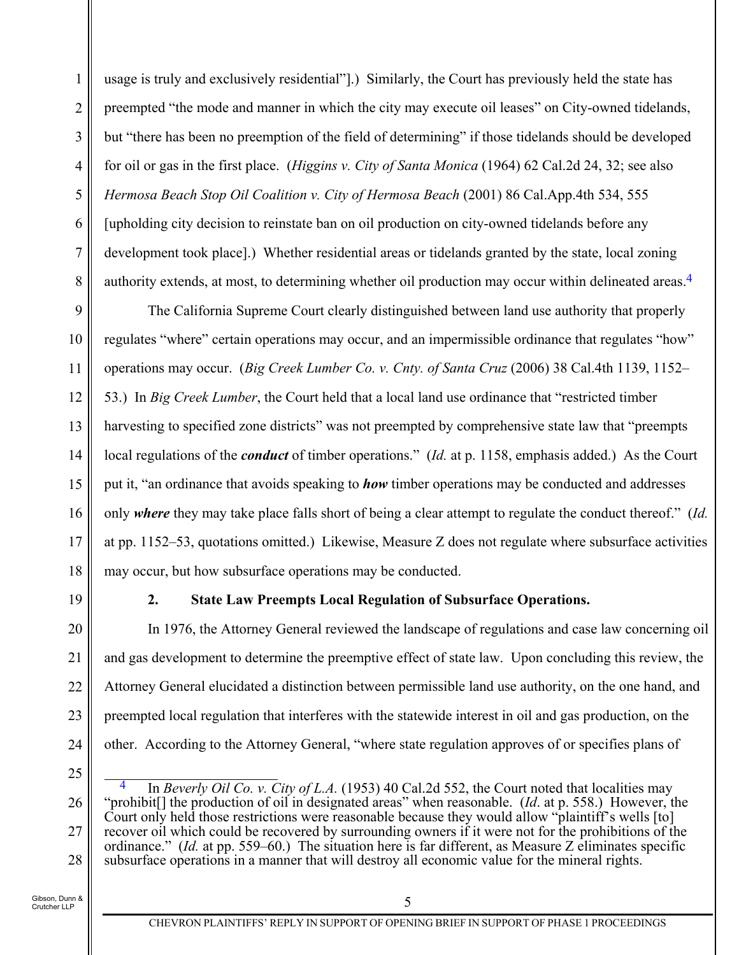1 2 3 4 5 6 7 8 usage is truly and exclusively residential"].) Similarly, the Court has previously held the state has preempted "the mode and manner in which the city may execute oil leases" on City-owned tidelands, but "there has been no preemption of the field of determining" if those tidelands should be developed for oil or gas in the first place. (*Higgins v. City of Santa Monica* (1964) 62 Cal.2d 24, 32; see also *Hermosa Beach Stop Oil Coalition v. City of Hermosa Beach* (2001) 86 Cal.App.4th 534, 555 [upholding city decision to reinstate ban on oil production on city-owned tidelands before any development took place].) Whether residential areas or tidelands granted by the state, local zoning authority extends, at most, to determining whether oil production may occur within delineated areas.4

9 10 11 12 13 14 15 16 17 18 The California Supreme Court clearly distinguished between land use authority that properly regulates "where" certain operations may occur, and an impermissible ordinance that regulates "how" operations may occur. (*Big Creek Lumber Co. v. Cnty. of Santa Cruz* (2006) 38 Cal.4th 1139, 1152– 53.) In *Big Creek Lumber*, the Court held that a local land use ordinance that "restricted timber harvesting to specified zone districts" was not preempted by comprehensive state law that "preempts local regulations of the *conduct* of timber operations." (*Id.* at p. 1158, emphasis added.) As the Court put it, "an ordinance that avoids speaking to *how* timber operations may be conducted and addresses only *where* they may take place falls short of being a clear attempt to regulate the conduct thereof." (*Id.* at pp. 1152–53, quotations omitted.) Likewise, Measure Z does not regulate where subsurface activities may occur, but how subsurface operations may be conducted.

19

20

21

22

23

24

# **2. State Law Preempts Local Regulation of Subsurface Operations.**

In 1976, the Attorney General reviewed the landscape of regulations and case law concerning oil and gas development to determine the preemptive effect of state law. Upon concluding this review, the Attorney General elucidated a distinction between permissible land use authority, on the one hand, and preempted local regulation that interferes with the statewide interest in oil and gas production, on the other. According to the Attorney General, "where state regulation approves of or specifies plans of

25

26

27

28

4 In *Beverly Oil Co. v. City of L.A.* (1953) 40 Cal.2d 552, the Court noted that localities may "prohibit[] the production of oil in designated areas" when reasonable. (*Id*. at p. 558.) However, the Court only held those restrictions were reasonable because they would allow "plaintiff's wells [to] recover oil which could be recovered by surrounding owners if it were not for the prohibitions of the ordinance." (*Id.* at pp. 559–60.) The situation here is far different, as Measure Z eliminates specific subsurface operations in a manner that will destroy all economic value for the mineral rights.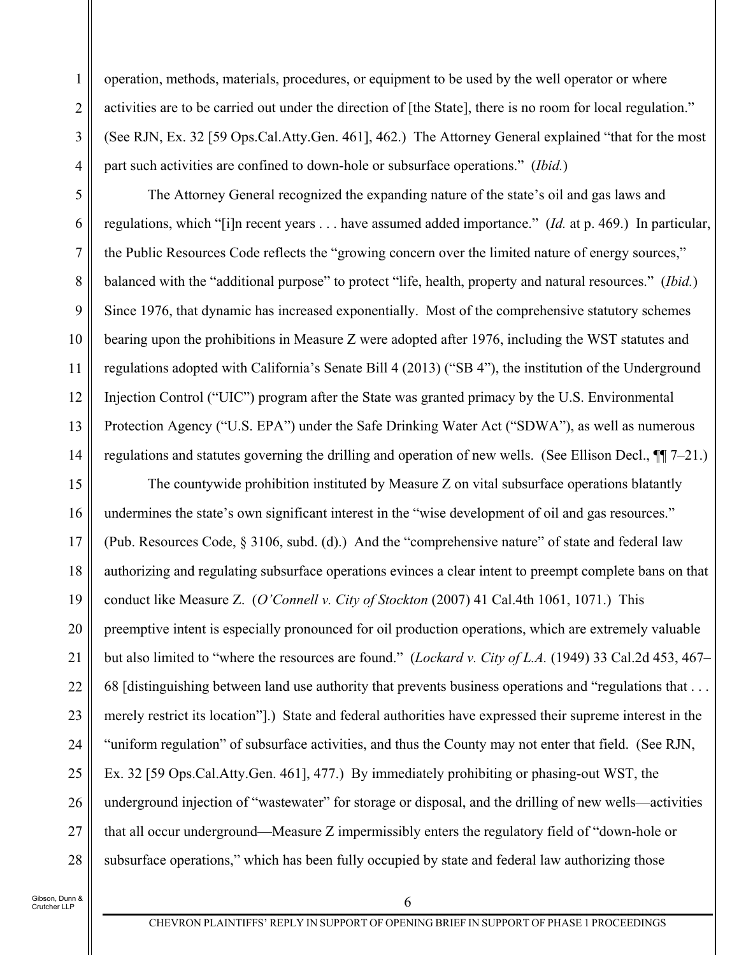operation, methods, materials, procedures, or equipment to be used by the well operator or where activities are to be carried out under the direction of [the State], there is no room for local regulation." (See RJN, Ex. 32 [59 Ops.Cal.Atty.Gen. 461], 462.) The Attorney General explained "that for the most part such activities are confined to down-hole or subsurface operations." (*Ibid.*)

5 6 7 8 9 10 11 12 13 14 The Attorney General recognized the expanding nature of the state's oil and gas laws and regulations, which "[i]n recent years . . . have assumed added importance." (*Id.* at p. 469.) In particular, the Public Resources Code reflects the "growing concern over the limited nature of energy sources," balanced with the "additional purpose" to protect "life, health, property and natural resources." (*Ibid.*) Since 1976, that dynamic has increased exponentially. Most of the comprehensive statutory schemes bearing upon the prohibitions in Measure Z were adopted after 1976, including the WST statutes and regulations adopted with California's Senate Bill 4 (2013) ("SB 4"), the institution of the Underground Injection Control ("UIC") program after the State was granted primacy by the U.S. Environmental Protection Agency ("U.S. EPA") under the Safe Drinking Water Act ("SDWA"), as well as numerous regulations and statutes governing the drilling and operation of new wells. (See Ellison Decl.,  $\P$ [ $7-21$ .)

15 16 17 18 19 20 21 22 23 24 25 26 27 28 The countywide prohibition instituted by Measure Z on vital subsurface operations blatantly undermines the state's own significant interest in the "wise development of oil and gas resources." (Pub. Resources Code, § 3106, subd. (d).) And the "comprehensive nature" of state and federal law authorizing and regulating subsurface operations evinces a clear intent to preempt complete bans on that conduct like Measure Z. (*O'Connell v. City of Stockton* (2007) 41 Cal.4th 1061, 1071.) This preemptive intent is especially pronounced for oil production operations, which are extremely valuable but also limited to "where the resources are found." (*Lockard v. City of L.A.* (1949) 33 Cal.2d 453, 467– 68 [distinguishing between land use authority that prevents business operations and "regulations that . . . merely restrict its location"].) State and federal authorities have expressed their supreme interest in the "uniform regulation" of subsurface activities, and thus the County may not enter that field. (See RJN, Ex. 32 [59 Ops.Cal.Atty.Gen. 461], 477.) By immediately prohibiting or phasing-out WST, the underground injection of "wastewater" for storage or disposal, and the drilling of new wells—activities that all occur underground—Measure Z impermissibly enters the regulatory field of "down-hole or subsurface operations," which has been fully occupied by state and federal law authorizing those

Gibson, Dunn & Crutcher LLP

1

2

3

4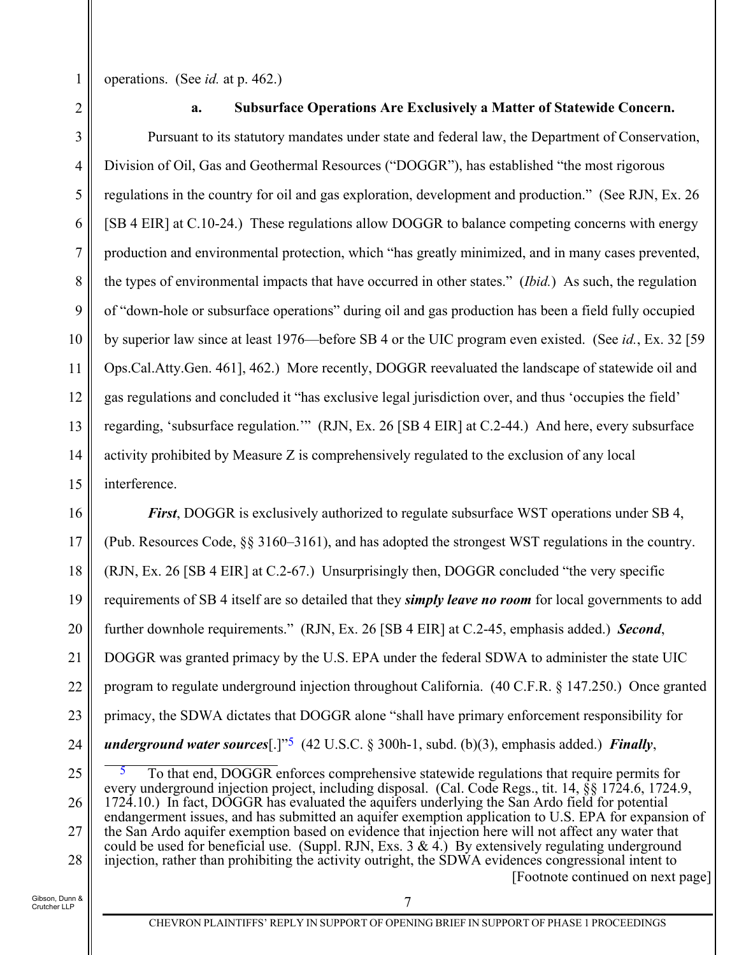operations. (See *id.* at p. 462.)

1

2

# **a. Subsurface Operations Are Exclusively a Matter of Statewide Concern.**

3 4 5 6 7 8 9 10 11 12 13 14 15 Pursuant to its statutory mandates under state and federal law, the Department of Conservation, Division of Oil, Gas and Geothermal Resources ("DOGGR"), has established "the most rigorous regulations in the country for oil and gas exploration, development and production." (See RJN, Ex. 26 [SB 4 EIR] at C.10-24.) These regulations allow DOGGR to balance competing concerns with energy production and environmental protection, which "has greatly minimized, and in many cases prevented, the types of environmental impacts that have occurred in other states." (*Ibid.*) As such, the regulation of "down-hole or subsurface operations" during oil and gas production has been a field fully occupied by superior law since at least 1976—before SB 4 or the UIC program even existed. (See *id.*, Ex. 32 [59 Ops.Cal.Atty.Gen. 461], 462.) More recently, DOGGR reevaluated the landscape of statewide oil and gas regulations and concluded it "has exclusive legal jurisdiction over, and thus 'occupies the field' regarding, 'subsurface regulation.'" (RJN, Ex. 26 [SB 4 EIR] at C.2-44.) And here, every subsurface activity prohibited by Measure Z is comprehensively regulated to the exclusion of any local interference.

16 17 18 19 20 21 22 23 24 *First*, DOGGR is exclusively authorized to regulate subsurface WST operations under SB 4, (Pub. Resources Code, §§ 3160–3161), and has adopted the strongest WST regulations in the country. (RJN, Ex. 26 [SB 4 EIR] at C.2-67.) Unsurprisingly then, DOGGR concluded "the very specific requirements of SB 4 itself are so detailed that they *simply leave no room* for local governments to add further downhole requirements." (RJN, Ex. 26 [SB 4 EIR] at C.2-45, emphasis added.) *Second*, DOGGR was granted primacy by the U.S. EPA under the federal SDWA to administer the state UIC program to regulate underground injection throughout California. (40 C.F.R. § 147.250.) Once granted primacy, the SDWA dictates that DOGGR alone "shall have primary enforcement responsibility for *underground water sources*[.]"5 (42 U.S.C. § 300h-1, subd. (b)(3), emphasis added.) *Finally*,

25 26 27 28 5 To that end, DOGGR enforces comprehensive statewide regulations that require permits for every underground injection project, including disposal. (Cal. Code Regs., tit. 14, §§ 1724.6, 1724.9, 1724.10.) In fact, DOGGR has evaluated the aquifers underlying the San Ardo field for potential endangerment issues, and has submitted an aquifer exemption application to U.S. EPA for expansion of the San Ardo aquifer exemption based on evidence that injection here will not affect any water that could be used for beneficial use. (Suppl. RJN, Exs.  $3 \& 4$ .) By extensively regulating underground injection, rather than prohibiting the activity outright, the SDWA evidences congressional intent to [Footnote continued on next page]

Gibson, Dunn & Crutcher LLP

7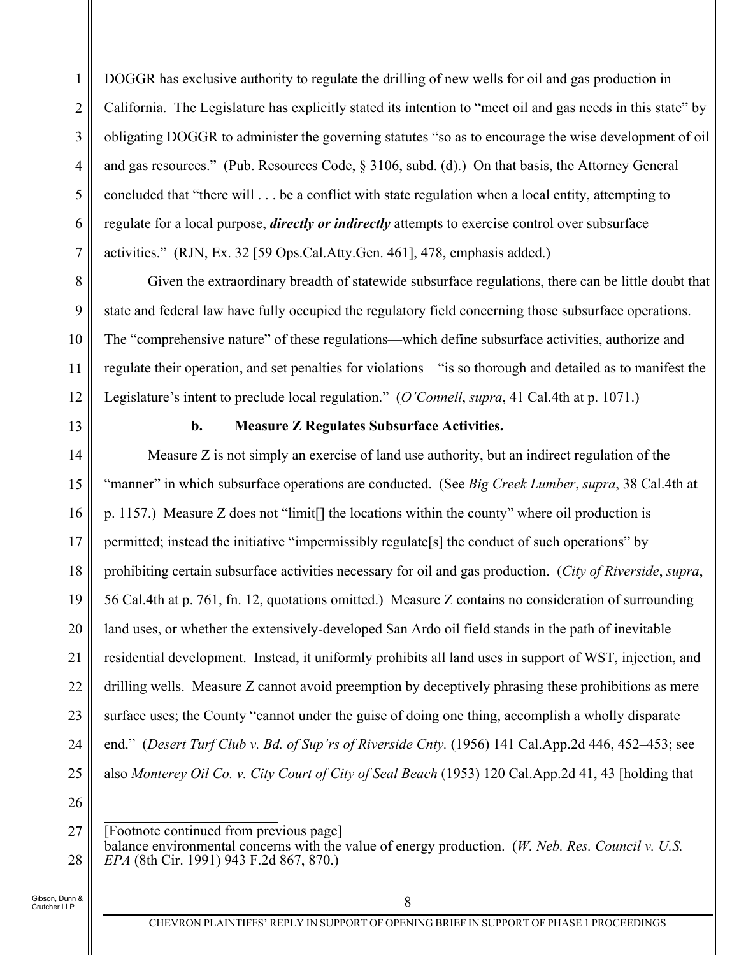1 2 3 4 5 6 7 DOGGR has exclusive authority to regulate the drilling of new wells for oil and gas production in California. The Legislature has explicitly stated its intention to "meet oil and gas needs in this state" by obligating DOGGR to administer the governing statutes "so as to encourage the wise development of oil and gas resources." (Pub. Resources Code, § 3106, subd. (d).) On that basis, the Attorney General concluded that "there will . . . be a conflict with state regulation when a local entity, attempting to regulate for a local purpose, *directly or indirectly* attempts to exercise control over subsurface activities." (RJN, Ex. 32 [59 Ops.Cal.Atty.Gen. 461], 478, emphasis added.)

Given the extraordinary breadth of statewide subsurface regulations, there can be little doubt that state and federal law have fully occupied the regulatory field concerning those subsurface operations. The "comprehensive nature" of these regulations—which define subsurface activities, authorize and regulate their operation, and set penalties for violations—"is so thorough and detailed as to manifest the Legislature's intent to preclude local regulation." (*O'Connell*, *supra*, 41 Cal.4th at p. 1071.)

13

8

9

10

11

12

## **b. Measure Z Regulates Subsurface Activities.**

14 15 16 17 18 19 20 21 22 23 24 25 Measure Z is not simply an exercise of land use authority, but an indirect regulation of the "manner" in which subsurface operations are conducted. (See *Big Creek Lumber*, *supra*, 38 Cal.4th at p. 1157.) Measure Z does not "limit[] the locations within the county" where oil production is permitted; instead the initiative "impermissibly regulate[s] the conduct of such operations" by prohibiting certain subsurface activities necessary for oil and gas production. (*City of Riverside*, *supra*, 56 Cal.4th at p. 761, fn. 12, quotations omitted.) Measure Z contains no consideration of surrounding land uses, or whether the extensively-developed San Ardo oil field stands in the path of inevitable residential development. Instead, it uniformly prohibits all land uses in support of WST, injection, and drilling wells. Measure Z cannot avoid preemption by deceptively phrasing these prohibitions as mere surface uses; the County "cannot under the guise of doing one thing, accomplish a wholly disparate end." (*Desert Turf Club v. Bd. of Sup'rs of Riverside Cnty.* (1956) 141 Cal.App.2d 446, 452–453; see also *Monterey Oil Co. v. City Court of City of Seal Beach* (1953) 120 Cal.App.2d 41, 43 [holding that

26

27

28

<sup>[</sup>Footnote continued from previous page] balance environmental concerns with the value of energy production. (*W. Neb. Res. Council v. U.S. EPA* (8th Cir. 1991) 943 F.2d 867, 870.)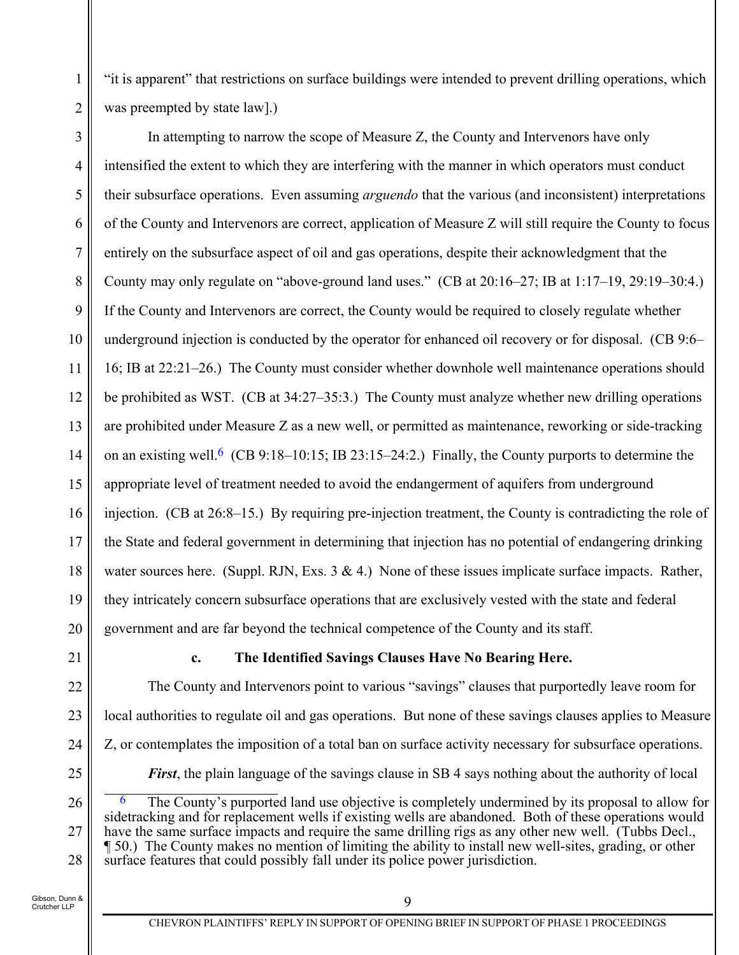"it is apparent" that restrictions on surface buildings were intended to prevent drilling operations, which was preempted by state law].)

3 4 5 6 7 8 9 10 11 12 13 14 15 16 17 18 19 20 In attempting to narrow the scope of Measure Z, the County and Intervenors have only intensified the extent to which they are interfering with the manner in which operators must conduct their subsurface operations. Even assuming *arguendo* that the various (and inconsistent) interpretations of the County and Intervenors are correct, application of Measure Z will still require the County to focus entirely on the subsurface aspect of oil and gas operations, despite their acknowledgment that the County may only regulate on "above-ground land uses." (CB at 20:16–27; IB at 1:17–19, 29:19–30:4.) If the County and Intervenors are correct, the County would be required to closely regulate whether underground injection is conducted by the operator for enhanced oil recovery or for disposal. (CB 9:6– 16; IB at 22:21–26.) The County must consider whether downhole well maintenance operations should be prohibited as WST. (CB at 34:27–35:3.) The County must analyze whether new drilling operations are prohibited under Measure Z as a new well, or permitted as maintenance, reworking or side-tracking on an existing well.<sup>6</sup> (CB 9:18–10:15; IB 23:15–24:2.) Finally, the County purports to determine the appropriate level of treatment needed to avoid the endangerment of aquifers from underground injection. (CB at 26:8–15.) By requiring pre-injection treatment, the County is contradicting the role of the State and federal government in determining that injection has no potential of endangering drinking water sources here. (Suppl. RJN, Exs.  $3 \& 4$ .) None of these issues implicate surface impacts. Rather, they intricately concern subsurface operations that are exclusively vested with the state and federal government and are far beyond the technical competence of the County and its staff.

21

22

23

24

1

2

### **c. The Identified Savings Clauses Have No Bearing Here.**

The County and Intervenors point to various "savings" clauses that purportedly leave room for local authorities to regulate oil and gas operations. But none of these savings clauses applies to Measure Z, or contemplates the imposition of a total ban on surface activity necessary for subsurface operations. *First*, the plain language of the savings clause in SB 4 says nothing about the authority of local

25 26

27

28

The County's purported land use objective is completely undermined by its proposal to allow for sidetracking and for replacement wells if existing wells are abandoned. Both of these operations would have the same surface impacts and require the same drilling rigs as any other new well. (Tubbs Decl., ¶ 50.) The County makes no mention of limiting the ability to install new well-sites, grading, or other surface features that could possibly fall under its police power jurisdiction.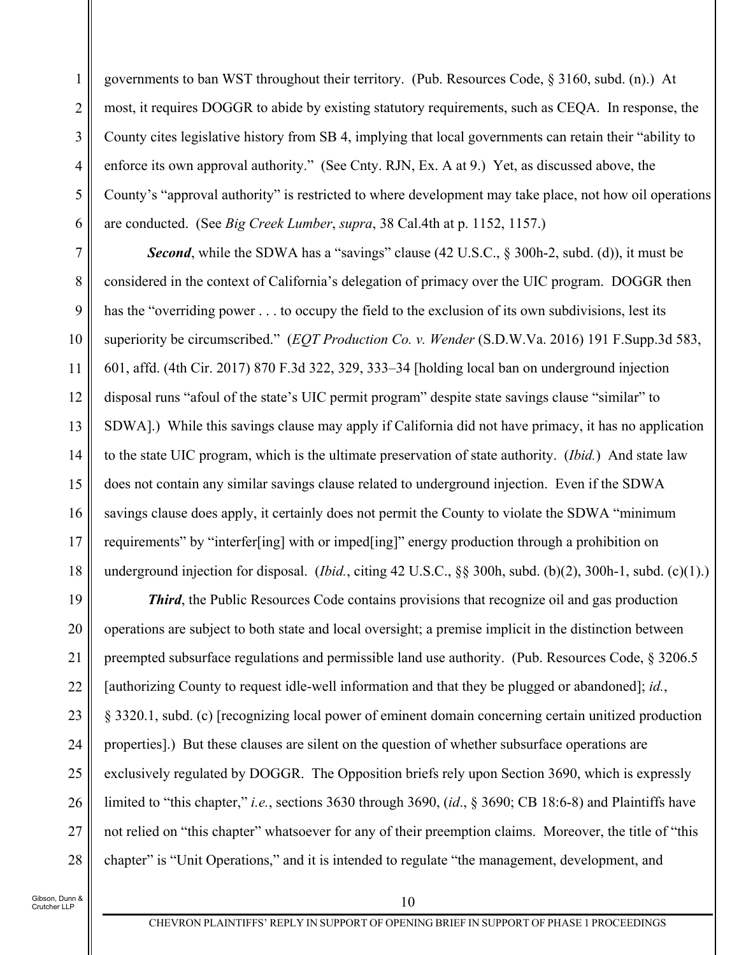1 2 3 4 5 6 governments to ban WST throughout their territory. (Pub. Resources Code, § 3160, subd. (n).) At most, it requires DOGGR to abide by existing statutory requirements, such as CEQA. In response, the County cites legislative history from SB 4, implying that local governments can retain their "ability to enforce its own approval authority." (See Cnty. RJN, Ex. A at 9.) Yet, as discussed above, the County's "approval authority" is restricted to where development may take place, not how oil operations are conducted. (See *Big Creek Lumber*, *supra*, 38 Cal.4th at p. 1152, 1157.)

7 8 9 10 11 12 13 14 15 16 17 18 **Second**, while the SDWA has a "savings" clause (42 U.S.C., § 300h-2, subd. (d)), it must be considered in the context of California's delegation of primacy over the UIC program. DOGGR then has the "overriding power . . . to occupy the field to the exclusion of its own subdivisions, lest its superiority be circumscribed." (*EQT Production Co. v. Wender* (S.D.W.Va. 2016) 191 F.Supp.3d 583, 601, affd. (4th Cir. 2017) 870 F.3d 322, 329, 333–34 [holding local ban on underground injection disposal runs "afoul of the state's UIC permit program" despite state savings clause "similar" to SDWA].) While this savings clause may apply if California did not have primacy, it has no application to the state UIC program, which is the ultimate preservation of state authority. (*Ibid.*) And state law does not contain any similar savings clause related to underground injection. Even if the SDWA savings clause does apply, it certainly does not permit the County to violate the SDWA "minimum requirements" by "interfer[ing] with or imped[ing]" energy production through a prohibition on underground injection for disposal. (*Ibid.*, citing 42 U.S.C., §§ 300h, subd. (b)(2), 300h-1, subd. (c)(1).)

19 20 21 22 23 24 25 26 27 28 *Third*, the Public Resources Code contains provisions that recognize oil and gas production operations are subject to both state and local oversight; a premise implicit in the distinction between preempted subsurface regulations and permissible land use authority. (Pub. Resources Code, § 3206.5 [authorizing County to request idle-well information and that they be plugged or abandoned]; *id.*, § 3320.1, subd. (c) [recognizing local power of eminent domain concerning certain unitized production properties].) But these clauses are silent on the question of whether subsurface operations are exclusively regulated by DOGGR. The Opposition briefs rely upon Section 3690, which is expressly limited to "this chapter," *i.e.*, sections 3630 through 3690, (*id*., § 3690; CB 18:6-8) and Plaintiffs have not relied on "this chapter" whatsoever for any of their preemption claims. Moreover, the title of "this chapter" is "Unit Operations," and it is intended to regulate "the management, development, and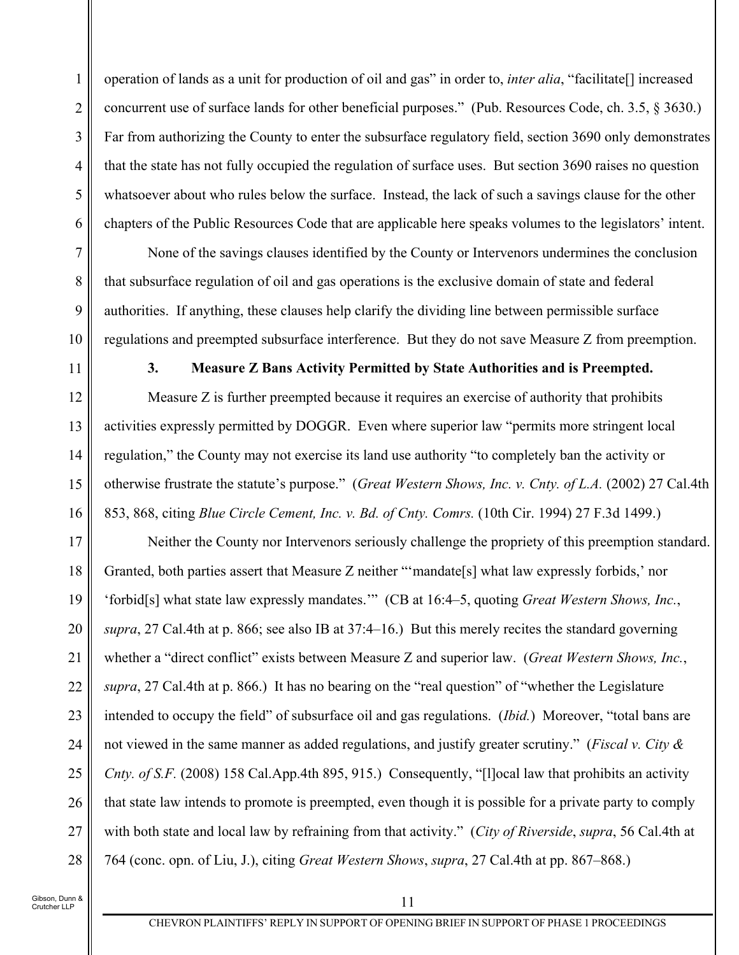1 2 3 4 5 6 operation of lands as a unit for production of oil and gas" in order to, *inter alia*, "facilitate[] increased concurrent use of surface lands for other beneficial purposes." (Pub. Resources Code, ch. 3.5, § 3630.) Far from authorizing the County to enter the subsurface regulatory field, section 3690 only demonstrates that the state has not fully occupied the regulation of surface uses. But section 3690 raises no question whatsoever about who rules below the surface. Instead, the lack of such a savings clause for the other chapters of the Public Resources Code that are applicable here speaks volumes to the legislators' intent.

None of the savings clauses identified by the County or Intervenors undermines the conclusion that subsurface regulation of oil and gas operations is the exclusive domain of state and federal authorities. If anything, these clauses help clarify the dividing line between permissible surface regulations and preempted subsurface interference. But they do not save Measure Z from preemption.

7

8

9

10

11

# **3. Measure Z Bans Activity Permitted by State Authorities and is Preempted.**

12 13 14 15 16 Measure Z is further preempted because it requires an exercise of authority that prohibits activities expressly permitted by DOGGR. Even where superior law "permits more stringent local regulation," the County may not exercise its land use authority "to completely ban the activity or otherwise frustrate the statute's purpose." (*Great Western Shows, Inc. v. Cnty. of L.A.* (2002) 27 Cal.4th 853, 868, citing *Blue Circle Cement, Inc. v. Bd. of Cnty. Comrs.* (10th Cir. 1994) 27 F.3d 1499.)

17 18 19 20 21 22 23 24 25 26 27 28 Neither the County nor Intervenors seriously challenge the propriety of this preemption standard. Granted, both parties assert that Measure Z neither "'mandate[s] what law expressly forbids,' nor 'forbid[s] what state law expressly mandates.'" (CB at 16:4–5, quoting *Great Western Shows, Inc.*, *supra*, 27 Cal.4th at p. 866; see also IB at 37:4–16.) But this merely recites the standard governing whether a "direct conflict" exists between Measure Z and superior law. (*Great Western Shows, Inc.*, *supra*, 27 Cal.4th at p. 866.) It has no bearing on the "real question" of "whether the Legislature intended to occupy the field" of subsurface oil and gas regulations. (*Ibid.*) Moreover, "total bans are not viewed in the same manner as added regulations, and justify greater scrutiny." (*Fiscal v. City & Cnty. of S.F.* (2008) 158 Cal.App.4th 895, 915.) Consequently, "[l]ocal law that prohibits an activity that state law intends to promote is preempted, even though it is possible for a private party to comply with both state and local law by refraining from that activity." (*City of Riverside*, *supra*, 56 Cal.4th at 764 (conc. opn. of Liu, J.), citing *Great Western Shows*, *supra*, 27 Cal.4th at pp. 867–868.)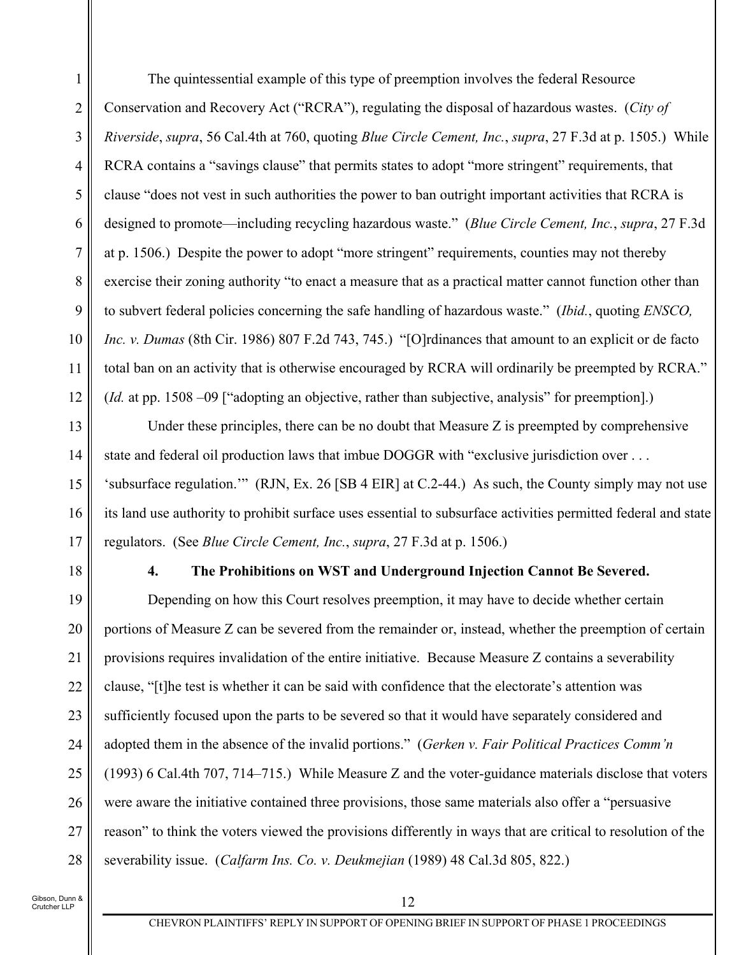1 2 3 4 5 6 7 8 9 10 11 12 The quintessential example of this type of preemption involves the federal Resource Conservation and Recovery Act ("RCRA"), regulating the disposal of hazardous wastes. (*City of Riverside*, *supra*, 56 Cal.4th at 760, quoting *Blue Circle Cement, Inc.*, *supra*, 27 F.3d at p. 1505.) While RCRA contains a "savings clause" that permits states to adopt "more stringent" requirements, that clause "does not vest in such authorities the power to ban outright important activities that RCRA is designed to promote—including recycling hazardous waste." (*Blue Circle Cement, Inc.*, *supra*, 27 F.3d at p. 1506.) Despite the power to adopt "more stringent" requirements, counties may not thereby exercise their zoning authority "to enact a measure that as a practical matter cannot function other than to subvert federal policies concerning the safe handling of hazardous waste." (*Ibid.*, quoting *ENSCO, Inc. v. Dumas* (8th Cir. 1986) 807 F.2d 743, 745.) "[O]rdinances that amount to an explicit or de facto total ban on an activity that is otherwise encouraged by RCRA will ordinarily be preempted by RCRA." (*Id.* at pp. 1508 –09 ["adopting an objective, rather than subjective, analysis" for preemption].)

Under these principles, there can be no doubt that Measure Z is preempted by comprehensive state and federal oil production laws that imbue DOGGR with "exclusive jurisdiction over . . . 'subsurface regulation.'" (RJN, Ex. 26 [SB 4 EIR] at C.2-44.) As such, the County simply may not use its land use authority to prohibit surface uses essential to subsurface activities permitted federal and state regulators. (See *Blue Circle Cement, Inc.*, *supra*, 27 F.3d at p. 1506.)

18

13

14

15

16

17

### **4. The Prohibitions on WST and Underground Injection Cannot Be Severed.**

19 20 21 22 23 24 25 26 27 28 Depending on how this Court resolves preemption, it may have to decide whether certain portions of Measure Z can be severed from the remainder or, instead, whether the preemption of certain provisions requires invalidation of the entire initiative. Because Measure Z contains a severability clause, "[t]he test is whether it can be said with confidence that the electorate's attention was sufficiently focused upon the parts to be severed so that it would have separately considered and adopted them in the absence of the invalid portions." (*Gerken v. Fair Political Practices Comm'n* (1993) 6 Cal.4th 707, 714–715.) While Measure Z and the voter-guidance materials disclose that voters were aware the initiative contained three provisions, those same materials also offer a "persuasive reason" to think the voters viewed the provisions differently in ways that are critical to resolution of the severability issue. (*Calfarm Ins. Co. v. Deukmejian* (1989) 48 Cal.3d 805, 822.)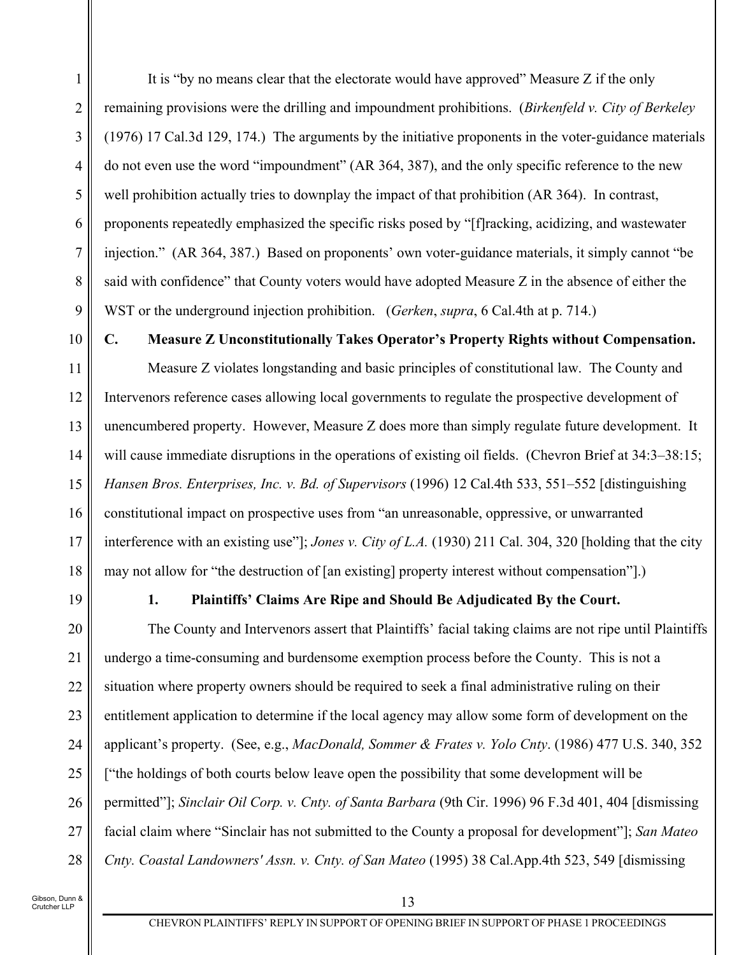It is "by no means clear that the electorate would have approved" Measure Z if the only remaining provisions were the drilling and impoundment prohibitions. (*Birkenfeld v. City of Berkeley* (1976) 17 Cal.3d 129, 174.) The arguments by the initiative proponents in the voter-guidance materials do not even use the word "impoundment" (AR 364, 387), and the only specific reference to the new well prohibition actually tries to downplay the impact of that prohibition (AR 364). In contrast, proponents repeatedly emphasized the specific risks posed by "[f]racking, acidizing, and wastewater injection." (AR 364, 387.) Based on proponents' own voter-guidance materials, it simply cannot "be said with confidence" that County voters would have adopted Measure Z in the absence of either the WST or the underground injection prohibition. (*Gerken*, *supra*, 6 Cal.4th at p. 714.)

**C. Measure Z Unconstitutionally Takes Operator's Property Rights without Compensation.** 

11 12 13 14 15 16 17 18 Measure Z violates longstanding and basic principles of constitutional law. The County and Intervenors reference cases allowing local governments to regulate the prospective development of unencumbered property. However, Measure Z does more than simply regulate future development. It will cause immediate disruptions in the operations of existing oil fields. (Chevron Brief at  $34:3-38:15$ ; *Hansen Bros. Enterprises, Inc. v. Bd. of Supervisors* (1996) 12 Cal.4th 533, 551–552 [distinguishing constitutional impact on prospective uses from "an unreasonable, oppressive, or unwarranted interference with an existing use"]; *Jones v. City of L.A.* (1930) 211 Cal. 304, 320 [holding that the city may not allow for "the destruction of [an existing] property interest without compensation"].)

19

1

2

3

4

5

6

7

8

9

10

### **1. Plaintiffs' Claims Are Ripe and Should Be Adjudicated By the Court.**

20 21 22 23 24 25 26 27 28 The County and Intervenors assert that Plaintiffs' facial taking claims are not ripe until Plaintiffs undergo a time-consuming and burdensome exemption process before the County. This is not a situation where property owners should be required to seek a final administrative ruling on their entitlement application to determine if the local agency may allow some form of development on the applicant's property. (See, e.g., *MacDonald, Sommer & Frates v. Yolo Cnty*. (1986) 477 U.S. 340, 352 ["the holdings of both courts below leave open the possibility that some development will be permitted"]; *Sinclair Oil Corp. v. Cnty. of Santa Barbara* (9th Cir. 1996) 96 F.3d 401, 404 [dismissing facial claim where "Sinclair has not submitted to the County a proposal for development"]; *San Mateo Cnty. Coastal Landowners' Assn. v. Cnty. of San Mateo* (1995) 38 Cal.App.4th 523, 549 [dismissing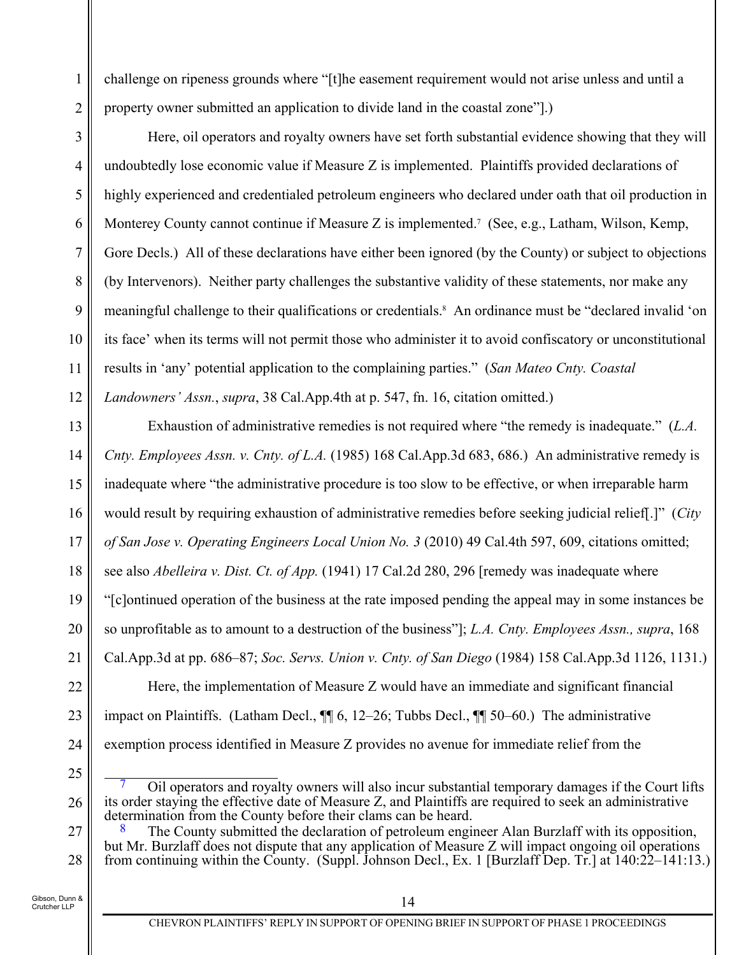challenge on ripeness grounds where "[t]he easement requirement would not arise unless and until a property owner submitted an application to divide land in the coastal zone"].)

3 4 5 6 7 8 9 10 11 12 Here, oil operators and royalty owners have set forth substantial evidence showing that they will undoubtedly lose economic value if Measure Z is implemented. Plaintiffs provided declarations of highly experienced and credentialed petroleum engineers who declared under oath that oil production in Monterey County cannot continue if Measure Z is implemented.<sup>7</sup> (See, e.g., Latham, Wilson, Kemp, Gore Decls.) All of these declarations have either been ignored (by the County) or subject to objections (by Intervenors). Neither party challenges the substantive validity of these statements, nor make any meaningful challenge to their qualifications or credentials.<sup>8</sup> An ordinance must be "declared invalid 'on its face' when its terms will not permit those who administer it to avoid confiscatory or unconstitutional results in 'any' potential application to the complaining parties." (*San Mateo Cnty. Coastal Landowners' Assn.*, *supra*, 38 Cal.App.4th at p. 547, fn. 16, citation omitted.)

13 14 15 16 17 18 19 20 21 22 23 Exhaustion of administrative remedies is not required where "the remedy is inadequate." (*L.A. Cnty. Employees Assn. v. Cnty. of L.A.* (1985) 168 Cal.App.3d 683, 686.) An administrative remedy is inadequate where "the administrative procedure is too slow to be effective, or when irreparable harm would result by requiring exhaustion of administrative remedies before seeking judicial relief[.]" (*City of San Jose v. Operating Engineers Local Union No. 3* (2010) 49 Cal.4th 597, 609, citations omitted; see also *Abelleira v. Dist. Ct. of App.* (1941) 17 Cal.2d 280, 296 [remedy was inadequate where "[c]ontinued operation of the business at the rate imposed pending the appeal may in some instances be so unprofitable as to amount to a destruction of the business"]; *L.A. Cnty. Employees Assn., supra*, 168 Cal.App.3d at pp. 686–87; *Soc. Servs. Union v. Cnty. of San Diego* (1984) 158 Cal.App.3d 1126, 1131.) Here, the implementation of Measure Z would have an immediate and significant financial

impact on Plaintiffs. (Latham Decl., ¶¶ 6, 12–26; Tubbs Decl., ¶¶ 50–60.) The administrative

exemption process identified in Measure Z provides no avenue for immediate relief from the

25

24

1

2

<sup>26</sup>  7 Oil operators and royalty owners will also incur substantial temporary damages if the Court lifts its order staying the effective date of Measure Z, and Plaintiffs are required to seek an administrative

<sup>27</sup>  28 The County submitted the declaration of petroleum engineer Alan Burzlaff with its opposition, but Mr. Burzlaff does not dispute that any application of Measure Z will impact ongoing oil operations from continuing within the County. (Suppl. Johnson Decl., Ex. 1 [Burzlaff Dep. Tr.] at 140:22–141:13.)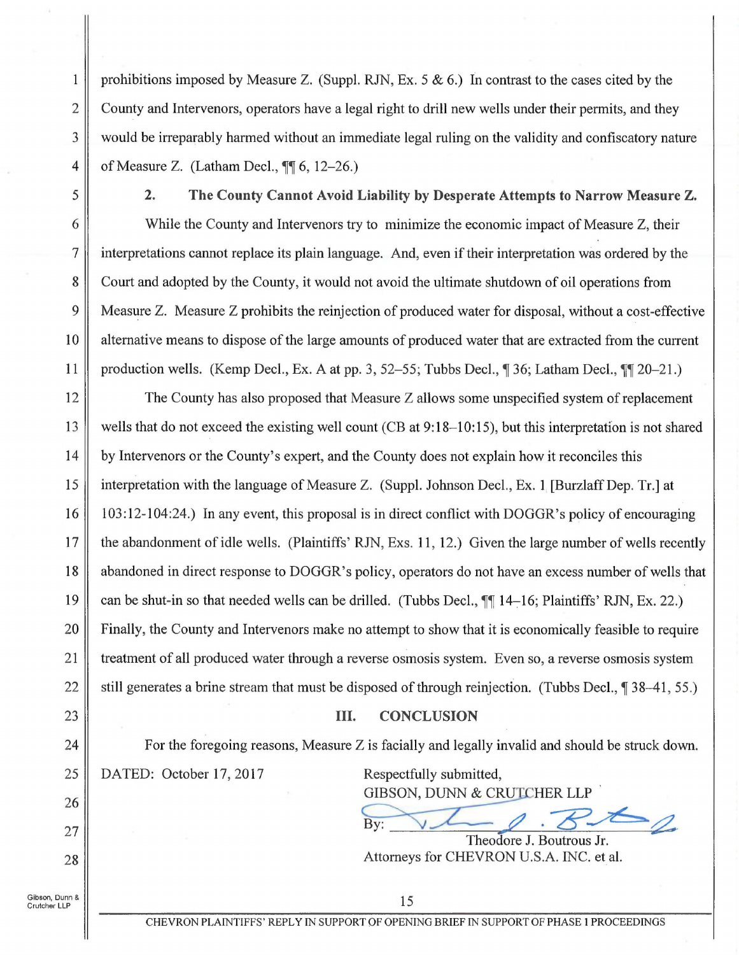**1** prohibitions imposed by Measure Z. (Suppl. RJN, Ex. 5 & 6.) In contrast to the cases cited by the 2 County and Intervenors, operators have a legal right to drill new wells under their permits, and they 3 would be irreparably harmed without an immediate legal ruling on the validity and confiscatory nature 4 of Measure Z. (Latham Decl.,  $\P$ , 6, 12-26.)

5 **2. The County Cannot Avoid Liability by Desperate Attempts to Narrow Measure Z.** 

6 While the County and Intervenors try to minimize the economic impact of Measure Z, their 7 interpretations cannot replace its plain language. And, even if their interpretation was ordered by the 8 Court and adopted by the County, it would not avoid the ultimate shutdown of oil operations from 9 Measure Z. Measure Z prohibits the reinjection of produced water for disposal, without a cost-effective 10 alternative means to dispose of the large amounts of produced water that are extracted from the current 11 production wells. (Kemp Decl., Ex. A at pp. 3, 52–55; Tubbs Decl., **1** 36; Latham Decl., **11** 20–21.)

12 The County has also proposed that Measure Z allows some unspecified system of replacement 13 wells that do not exceed the existing well count (CB at 9:18–10:15), but this interpretation is not shared 14 by Intervenors or the County's expert, and the County does not explain how it reconciles this 15 interpretation with the language of Measure Z. (Suppl. Johnson Deel., Ex. 1 [BurzlaffDep. Tr.] at 16 | 103:12-104:24.) In any event, this proposal is in direct conflict with DOGGR's policy of encouraging 17 the abandonment of idle wells. (Plaintiffs' RJN, Exs. 11, 12.) Given the large number of wells recently 18 abandoned in direct response to DOGGR's policy, operators do not have an excess number of wells that 19 can be shut-in so that needed wells can be drilled. (Tubbs Decl.,  $\P$  14–16; Plaintiffs' RJN, Ex. 22.) 20 Finally, the County and Intervenors make no attempt to show that it is economically feasible to require 21 treatment of all produced water through a reverse osmosis system. Even so, a reverse osmosis system 22 still generates a brine stream that must be disposed of through reinjection. (Tubbs Decl., 1 38–41, 55.)

## III. **CONCLUSION**

For the foregoing reasons, Measure Z is facially and legally invalid and should be struck down. 25 | DATED: October 17, 2017 Respectfully submitted,

GIBSON, DUNN & CRUICHER LLP

Attorneys for CHEVRON U.S.A. INC. et al.

Theodore J. Boutrous Jr.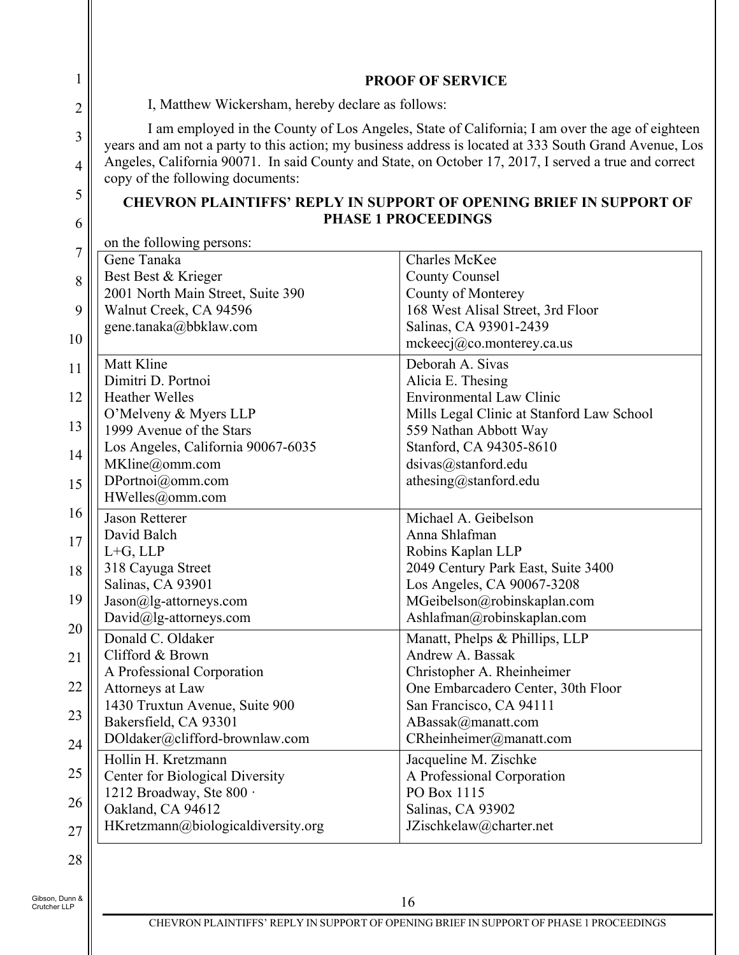|                                                              | <b>PROOF OF SERVICE</b>                                                                                                                                                                                                                                                                                           |
|--------------------------------------------------------------|-------------------------------------------------------------------------------------------------------------------------------------------------------------------------------------------------------------------------------------------------------------------------------------------------------------------|
| I, Matthew Wickersham, hereby declare as follows:            |                                                                                                                                                                                                                                                                                                                   |
| copy of the following documents:                             | I am employed in the County of Los Angeles, State of California; I am over the age of eighteen<br>years and am not a party to this action; my business address is located at 333 South Grand Avenue, Los<br>Angeles, California 90071. In said County and State, on October 17, 2017, I served a true and correct |
|                                                              | <b>CHEVRON PLAINTIFFS' REPLY IN SUPPORT OF OPENING BRIEF IN SUPPORT OF</b><br><b>PHASE 1 PROCEEDINGS</b>                                                                                                                                                                                                          |
| on the following persons:                                    |                                                                                                                                                                                                                                                                                                                   |
| Gene Tanaka                                                  | <b>Charles McKee</b>                                                                                                                                                                                                                                                                                              |
| Best Best & Krieger                                          | <b>County Counsel</b>                                                                                                                                                                                                                                                                                             |
| 2001 North Main Street, Suite 390                            | County of Monterey                                                                                                                                                                                                                                                                                                |
| Walnut Creek, CA 94596                                       | 168 West Alisal Street, 3rd Floor                                                                                                                                                                                                                                                                                 |
| gene.tanaka@bbklaw.com                                       | Salinas, CA 93901-2439<br>$m$ ckeecj@co.monterey.ca.us                                                                                                                                                                                                                                                            |
| Matt Kline                                                   | Deborah A. Sivas                                                                                                                                                                                                                                                                                                  |
| Dimitri D. Portnoi                                           | Alicia E. Thesing                                                                                                                                                                                                                                                                                                 |
| <b>Heather Welles</b>                                        | <b>Environmental Law Clinic</b>                                                                                                                                                                                                                                                                                   |
| O'Melveny & Myers LLP                                        | Mills Legal Clinic at Stanford Law School                                                                                                                                                                                                                                                                         |
| 1999 Avenue of the Stars                                     | 559 Nathan Abbott Way                                                                                                                                                                                                                                                                                             |
| Los Angeles, California 90067-6035                           | Stanford, CA 94305-8610                                                                                                                                                                                                                                                                                           |
| MKline@omm.com                                               | dsivas@stanford.edu                                                                                                                                                                                                                                                                                               |
| DPortnoi@omm.com                                             | athesing@stanford.edu                                                                                                                                                                                                                                                                                             |
| HWelles@omm.com                                              |                                                                                                                                                                                                                                                                                                                   |
| <b>Jason Retterer</b>                                        | Michael A. Geibelson                                                                                                                                                                                                                                                                                              |
| David Balch                                                  | Anna Shlafman                                                                                                                                                                                                                                                                                                     |
| $L + G$ , $LLP$                                              | Robins Kaplan LLP                                                                                                                                                                                                                                                                                                 |
| 318 Cayuga Street                                            | 2049 Century Park East, Suite 3400                                                                                                                                                                                                                                                                                |
| Salinas, CA 93901                                            | Los Angeles, CA 90067-3208                                                                                                                                                                                                                                                                                        |
| $\text{Jason}(a)$ lg-attorneys.com<br>David@lg-attorneys.com | MGeibelson@robinskaplan.com<br>Ashlafman@robinskaplan.com                                                                                                                                                                                                                                                         |
| Donald C. Oldaker                                            |                                                                                                                                                                                                                                                                                                                   |
| Clifford & Brown                                             | Manatt, Phelps & Phillips, LLP<br>Andrew A. Bassak                                                                                                                                                                                                                                                                |
| A Professional Corporation                                   | Christopher A. Rheinheimer                                                                                                                                                                                                                                                                                        |
| Attorneys at Law                                             | One Embarcadero Center, 30th Floor                                                                                                                                                                                                                                                                                |
| 1430 Truxtun Avenue, Suite 900                               | San Francisco, CA 94111                                                                                                                                                                                                                                                                                           |
| Bakersfield, CA 93301                                        | ABassak@manatt.com                                                                                                                                                                                                                                                                                                |
| DOldaker@clifford-brownlaw.com                               | CRheinheimer@manatt.com                                                                                                                                                                                                                                                                                           |
| Hollin H. Kretzmann                                          | Jacqueline M. Zischke                                                                                                                                                                                                                                                                                             |
| <b>Center for Biological Diversity</b>                       | A Professional Corporation                                                                                                                                                                                                                                                                                        |
| 1212 Broadway, Ste 800 ·                                     | PO Box 1115                                                                                                                                                                                                                                                                                                       |
| Oakland, CA 94612                                            | Salinas, CA 93902                                                                                                                                                                                                                                                                                                 |
| HKretzmann@biologicaldiversity.org                           | JZischkelaw@charter.net                                                                                                                                                                                                                                                                                           |

Gibson, Dunn & Crutcher LLP

 $\mathsf{I}$